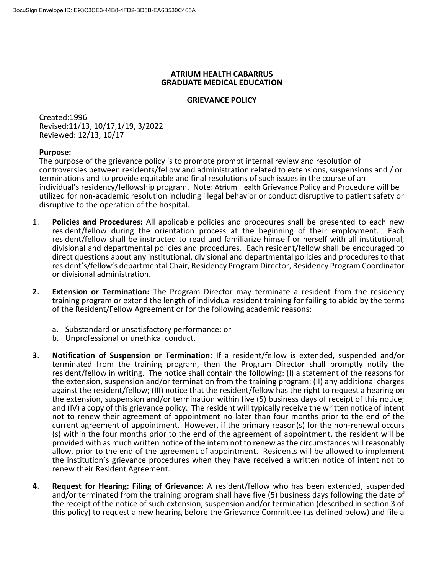## **ATRIUM HEALTH CABARRUS GRADUATE MEDICAL EDUCATION**

## **GRIEVANCE POLICY**

Created:1996 Revised:11/13, 10/17,1/19, 3/2022 Reviewed: 12/13, 10/17

## **Purpose:**

The purpose of the grievance policy is to promote prompt internal review and resolution of controversies between residents/fellow and administration related to extensions, suspensions and / or terminations and to provide equitable and final resolutions of such issues in the course of an individual's residency/fellowship program. Note: Atrium Health Grievance Policy and Procedure will be utilized for non-academic resolution including illegal behavior or conduct disruptive to patient safety or disruptive to the operation of the hospital.

- 1. **Policies and Procedures:** All applicable policies and procedures shall be presented to each new resident/fellow during the orientation process at the beginning of their employment. Each resident/fellow shall be instructed to read and familiarize himself or herself with all institutional, divisional and departmental policies and procedures. Each resident/fellow shall be encouraged to direct questions about any institutional, divisional and departmental policies and procedures to that resident's/fellow's departmental Chair, Residency Program Director, Residency Program Coordinator or divisional administration.
- **2. Extension or Termination:** The Program Director may terminate a resident from the residency training program or extend the length of individual resident training for failing to abide by the terms of the Resident/Fellow Agreement or for the following academic reasons:
	- a. Substandard or unsatisfactory performance: or
	- b. Unprofessional or unethical conduct.
- **3. Notification of Suspension or Termination:** If a resident/fellow is extended, suspended and/or terminated from the training program, then the Program Director shall promptly notify the resident/fellow in writing. The notice shall contain the following: (I) a statement of the reasons for the extension, suspension and/or termination from the training program: (II) any additional charges against the resident/fellow; (III) notice that the resident/fellow has the right to request a hearing on the extension, suspension and/or termination within five (5) business days of receipt of this notice; and (IV) a copy of this grievance policy. The resident will typically receive the written notice of intent not to renew their agreement of appointment no later than four months prior to the end of the current agreement of appointment. However, if the primary reason(s) for the non-renewal occurs (s) within the four months prior to the end of the agreement of appointment, the resident will be provided with as much written notice of the intern not to renew as the circumstances will reasonably allow, prior to the end of the agreement of appointment. Residents will be allowed to implement the institution's grievance procedures when they have received a written notice of intent not to renew their Resident Agreement.
- **4. Request for Hearing: Filing of Grievance:** A resident/fellow who has been extended, suspended and/or terminated from the training program shall have five (5) business days following the date of the receipt of the notice of such extension, suspension and/or termination (described in section 3 of this policy) to request a new hearing before the Grievance Committee (as defined below) and file a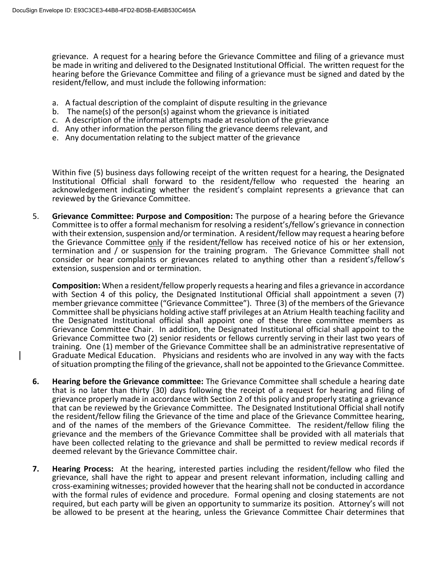grievance. A request for a hearing before the Grievance Committee and filing of a grievance must be made in writing and delivered to the Designated Institutional Official. The written request for the hearing before the Grievance Committee and filing of a grievance must be signed and dated by the resident/fellow, and must include the following information:

- a. A factual description of the complaint of dispute resulting in the grievance
- b. The name(s) of the person(s) against whom the grievance is initiated
- c. A description of the informal attempts made at resolution of the grievance
- d. Any other information the person filing the grievance deems relevant, and
- e. Any documentation relating to the subject matter of the grievance

Within five (5) business days following receipt of the written request for a hearing, the Designated Institutional Official shall forward to the resident/fellow who requested the hearing an acknowledgement indicating whether the resident's complaint represents a grievance that can reviewed by the Grievance Committee.

5. **Grievance Committee: Purpose and Composition:** The purpose of a hearing before the Grievance Committee is to offer a formal mechanism for resolving a resident's/fellow's grievance in connection with their extension, suspension and/or termination. A resident/fellow may request a hearing before the Grievance Committee only if the resident/fellow has received notice of his or her extension, termination and / or suspension for the training program. The Grievance Committee shall not consider or hear complaints or grievances related to anything other than a resident's/fellow's extension, suspension and or termination.

**Composition:** When a resident/fellow properly requests a hearing and files a grievance in accordance with Section 4 of this policy, the Designated Institutional Official shall appointment a seven (7) member grievance committee ("Grievance Committee"). Three (3) of the members of the Grievance Committee shall be physicians holding active staff privileges at an Atrium Health teaching facility and the Designated Institutional official shall appoint one of these three committee members as Grievance Committee Chair. In addition, the Designated Institutional official shall appoint to the Grievance Committee two (2) senior residents or fellows currently serving in their last two years of training. One (1) member of the Grievance Committee shall be an administrative representative of Graduate Medical Education. Physicians and residents who are involved in any way with the facts of situation prompting the filing of the grievance, shall not be appointed to the Grievance Committee.

- **6. Hearing before the Grievance committee:** The Grievance Committee shall schedule a hearing date that is no later than thirty (30) days following the receipt of a request for hearing and filing of grievance properly made in accordance with Section 2 of this policy and properly stating a grievance that can be reviewed by the Grievance Committee. The Designated Institutional Official shall notify the resident/fellow filing the Grievance of the time and place of the Grievance Committee hearing, and of the names of the members of the Grievance Committee. The resident/fellow filing the grievance and the members of the Grievance Committee shall be provided with all materials that have been collected relating to the grievance and shall be permitted to review medical records if deemed relevant by the Grievance Committee chair.
- **7. Hearing Process:** At the hearing, interested parties including the resident/fellow who filed the grievance, shall have the right to appear and present relevant information, including calling and cross-examining witnesses; provided however that the hearing shall not be conducted in accordance with the formal rules of evidence and procedure. Formal opening and closing statements are not required, but each party will be given an opportunity to summarize its position. Attorney's will not be allowed to be present at the hearing, unless the Grievance Committee Chair determines that